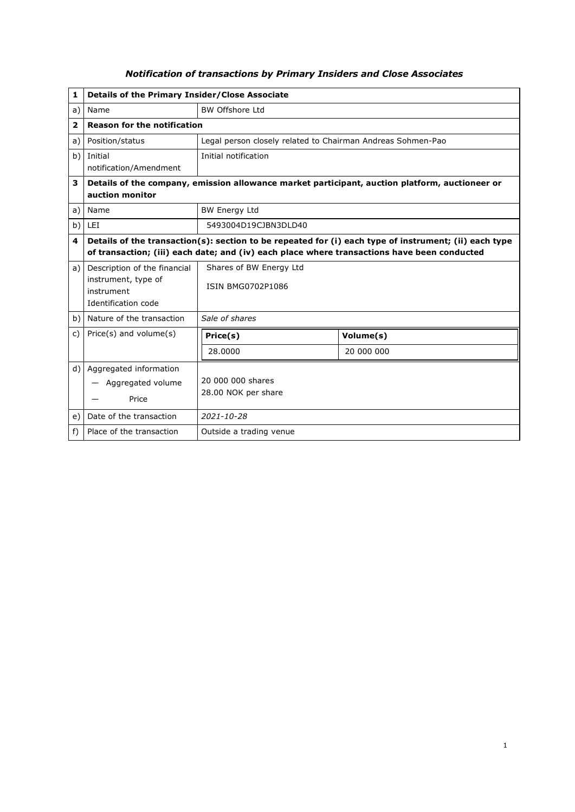| 1    | <b>Details of the Primary Insider/Close Associate</b>                                                 |                                                                                             |            |  |
|------|-------------------------------------------------------------------------------------------------------|---------------------------------------------------------------------------------------------|------------|--|
| a)   | Name                                                                                                  | <b>BW Offshore Ltd</b>                                                                      |            |  |
| 2    | <b>Reason for the notification</b>                                                                    |                                                                                             |            |  |
| a)   | Position/status                                                                                       | Legal person closely related to Chairman Andreas Sohmen-Pao                                 |            |  |
| b)   | Initial                                                                                               | Initial notification                                                                        |            |  |
|      | notification/Amendment                                                                                |                                                                                             |            |  |
| 3    | Details of the company, emission allowance market participant, auction platform, auctioneer or        |                                                                                             |            |  |
|      | auction monitor                                                                                       |                                                                                             |            |  |
| a)   | Name                                                                                                  | <b>BW Energy Ltd</b>                                                                        |            |  |
| b)   | <b>LEI</b>                                                                                            | 5493004D19CJBN3DLD40                                                                        |            |  |
| 4    | Details of the transaction(s): section to be repeated for (i) each type of instrument; (ii) each type |                                                                                             |            |  |
|      |                                                                                                       | of transaction; (iii) each date; and (iv) each place where transactions have been conducted |            |  |
| a) l | Description of the financial                                                                          | Shares of BW Energy Ltd                                                                     |            |  |
|      | instrument, type of<br>instrument                                                                     | <b>ISIN BMG0702P1086</b>                                                                    |            |  |
|      | Identification code                                                                                   |                                                                                             |            |  |
| b)   | Nature of the transaction                                                                             | Sale of shares                                                                              |            |  |
|      |                                                                                                       |                                                                                             |            |  |
| C)   | Price(s) and volume(s)                                                                                | Price(s)                                                                                    | Volume(s)  |  |
|      |                                                                                                       | 28.0000                                                                                     | 20 000 000 |  |
| d)   | Aggregated information                                                                                |                                                                                             |            |  |
|      | Aggregated volume                                                                                     | 20 000 000 shares                                                                           |            |  |
|      | Price                                                                                                 | 28.00 NOK per share                                                                         |            |  |
| e)   | Date of the transaction                                                                               | $2021 - 10 - 28$                                                                            |            |  |
| f)   | Place of the transaction                                                                              | Outside a trading venue                                                                     |            |  |

## *Notification of transactions by Primary Insiders and Close Associates*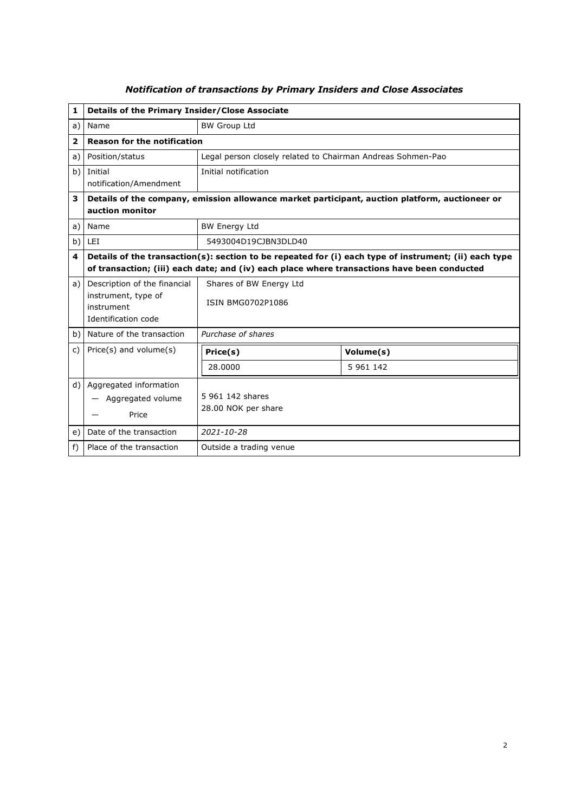| $\mathbf{1}$            | Details of the Primary Insider/Close Associate                                                                                                                                                       |                                                             |           |  |  |
|-------------------------|------------------------------------------------------------------------------------------------------------------------------------------------------------------------------------------------------|-------------------------------------------------------------|-----------|--|--|
| a)                      | Name                                                                                                                                                                                                 | <b>BW Group Ltd</b>                                         |           |  |  |
| $\overline{\mathbf{2}}$ | <b>Reason for the notification</b>                                                                                                                                                                   |                                                             |           |  |  |
| a)                      | Position/status                                                                                                                                                                                      | Legal person closely related to Chairman Andreas Sohmen-Pao |           |  |  |
| b)                      | Initial<br>notification/Amendment                                                                                                                                                                    | Initial notification                                        |           |  |  |
| 3                       | Details of the company, emission allowance market participant, auction platform, auctioneer or<br>auction monitor                                                                                    |                                                             |           |  |  |
| a)                      | Name                                                                                                                                                                                                 | <b>BW Energy Ltd</b>                                        |           |  |  |
| b)                      | LEI                                                                                                                                                                                                  | 5493004D19CJBN3DLD40                                        |           |  |  |
| 4                       | Details of the transaction(s): section to be repeated for (i) each type of instrument; (ii) each type<br>of transaction; (iii) each date; and (iv) each place where transactions have been conducted |                                                             |           |  |  |
| a)                      | Description of the financial<br>instrument, type of<br>instrument<br>Identification code                                                                                                             | Shares of BW Energy Ltd<br><b>ISIN BMG0702P1086</b>         |           |  |  |
| b)                      | Nature of the transaction                                                                                                                                                                            | Purchase of shares                                          |           |  |  |
| C)                      | $Price(s)$ and volume $(s)$                                                                                                                                                                          | Price(s)                                                    | Volume(s) |  |  |
|                         |                                                                                                                                                                                                      | 28.0000                                                     | 5 961 142 |  |  |
| d)                      | Aggregated information<br>Aggregated volume<br>Price                                                                                                                                                 | 5 961 142 shares<br>28.00 NOK per share                     |           |  |  |
| e)                      | Date of the transaction                                                                                                                                                                              | $2021 - 10 - 28$                                            |           |  |  |
| f)                      | Place of the transaction                                                                                                                                                                             | Outside a trading venue                                     |           |  |  |

## *Notification of transactions by Primary Insiders and Close Associates*